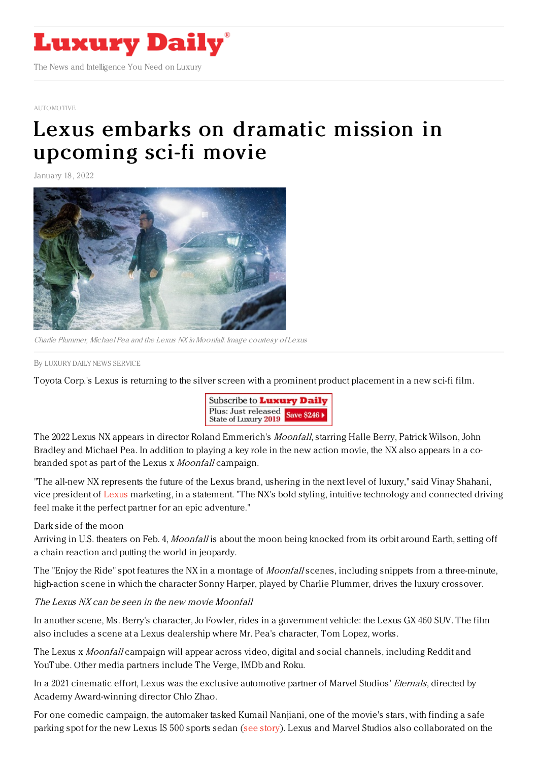

## [AUTOMOTIVE](https://www.luxurydaily.com/category/sectors/automotive-industry-sectors/)

## Lexus embarks on dramatic mission in [upcoming](https://www.luxurydaily.com/lexus-moonfall-campaing-2022/) sci-fi movie

January 18, 2022



Charlie Plummer, Michael Pea and the Lexus NX inMoonfall. Image courtesy of Lexus

By LUXURY DAILY NEWS [SERVICE](file:///author/luxury-daily-news-service)

Toyota Corp.'s Lexus is returning to the silver screen with a prominent product placement in a new sci-fi film.



The 2022 Lexus NX appears in director Roland Emmerich's Moonfall, starring Halle Berry, Patrick Wilson, John Bradley and Michael Pea. In addition to playing a key role in the new action movie, the NX also appears in a cobranded spot as part of the Lexus x *Moonfall* campaign.

"The all-new NX represents the future of the Lexus brand, ushering in the next level of luxury," said Vinay Shahani, vice president of [Lexus](https://www.lexus.com/) marketing, in a statement. "The NX's bold styling, intuitive technology and connected driving feel make it the perfect partner for an epic adventure."

Dark side of the moon

Arriving in U.S. theaters on Feb. 4, Moonfall is about the moon being knocked from its orbit around Earth, setting off a chain reaction and putting the world in jeopardy.

The "Enjoy the Ride" spot features the NX in a montage of *Moonfall* scenes, including snippets from a three-minute, high-action scene in which the character Sonny Harper, played by Charlie Plummer, drives the luxury crossover.

## The Lexus NX can be seen in the new movie Moonfall

In another scene, Ms. Berry's character, Jo Fowler, rides in a government vehicle: the Lexus GX 460 SUV. The film also includes a scene at a Lexus dealership where Mr. Pea's character, Tom Lopez, works.

The Lexus x *Moonfall* campaign will appear across video, digital and social channels, including Reddit and YouTube. Other media partners include The Verge, IMDb and Roku.

In a 2021 cinematic effort, Lexus was the exclusive automotive partner of Marvel Studios' Eternals, directed by Academy Award-winning director Chlo Zhao.

For one comedic campaign, the automaker tasked Kumail Nanjiani, one of the movie's stars, with finding a safe parking spot for the new Lexus IS 500 sports sedan (see [story](https://www.luxurydaily.com/lexus-marvel-eternals-concept-vehicles/)). Lexus and Marvel Studios also collaborated on the